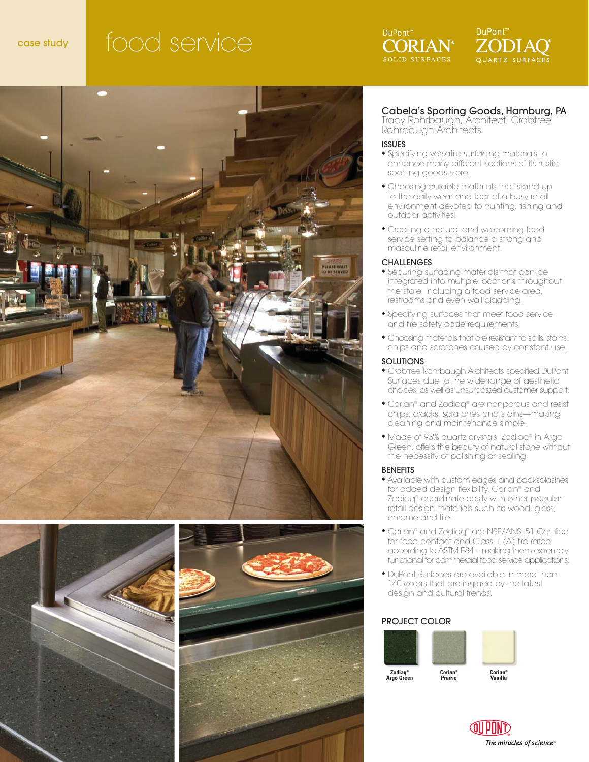# case study food service











#### Cabela's Sporting Goods, Hamburg, PA

Tracy Rohrbaugh, Architect, Crabtree Rohrbaugh Architects

#### ISSUES

- ◆ Specifying versatile surfacing materials to enhance many different sections of its rustic sporting goods store.
- ◆ Choosing durable materials that stand up to the daily wear and tear of a busy retail environment devoted to hunting, fishing and outdoor activities.
- ◆ Creating a natural and welcoming food service setting to balance a strong and masculine retail environment.

#### **CHALLENGES**

- ◆ Securing surfacing materials that can be integrated into multiple locations throughout the store, including a food service area, restrooms and even wall cladding.
- ◆ Specifying surfaces that meet food service and fire safety code requirements.
- ◆ Choosing materials that are resistant to spills, stains, chips and scratches caused by constant use.

#### **SOLUTIONS**

- ◆ Crabtree Rohrbaugh Architects specified DuPont Surfaces due to the wide range of aesthetic choices, as well as unsurpassed customer support.
- ◆ Corian® and Zodiaq® are nonporous and resist chips, cracks, scratches and stains—making cleaning and maintenance simple.
- ◆ Made of 93% quartz crystals, Zodiaq® in Argo Green, offers the beauty of natural stone without the necessity of polishing or sealing.

#### **BENEFITS**

- ◆ Available with custom edges and backsplashes for added design flexibility, Corian® and Zodiaq® coordinate easily with other popular retail design materials such as wood, glass, chrome and tile.
- ◆ Corian® and Zodiaq® are NSF/ANSI 51 Certified for food contact and Class 1 (A) fire rated according to ASTM E84 – making them extremely functional for commercial food service applications.
- ◆ DuPont Surfaces are available in more than 140 colors that are inspired by the latest design and cultural trends.

#### PROJECT COLOR